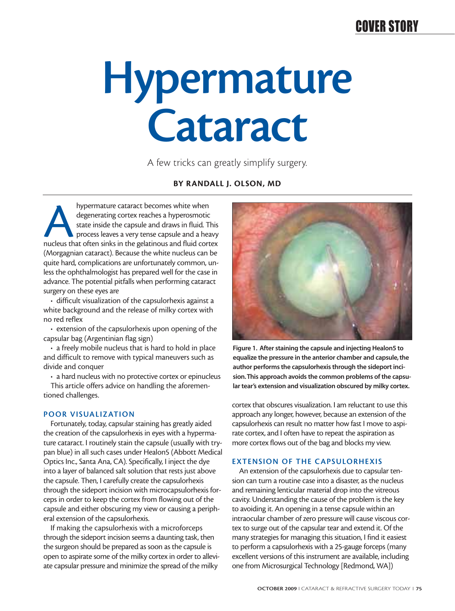## COVER STORY

# **Hypermature Cataract**

A few tricks can greatly simplify surgery.

#### **BY RANDALL J. OLSON, MD**

Ahypermature cataract becomes white when<br>degenerating cortex reaches a hyperosmotic<br>state inside the capsule and draws in fluid. This<br>process leaves a very tense capsule and a heavy<br>nucleus that often sinks in the gelatino degenerating cortex reaches a hyperosmotic state inside the capsule and draws in fluid. This process leaves a very tense capsule and a heavy (Morgagnian cataract). Because the white nucleus can be quite hard, complications are unfortunately common, unless the ophthalmologist has prepared well for the case in advance. The potential pitfalls when performing cataract surgery on these eyes are

• difficult visualization of the capsulorhexis against a white background and the release of milky cortex with no red reflex

• extension of the capsulorhexis upon opening of the capsular bag (Argentinian flag sign)

• a freely mobile nucleus that is hard to hold in place and difficult to remove with typical maneuvers such as divide and conquer

• a hard nucleus with no protective cortex or epinucleus

This article offers advice on handling the aforementioned challenges.

#### **POOR VISUALIZATION**

Fortunately, today, capsular staining has greatly aided the creation of the capsulorhexis in eyes with a hypermature cataract. I routinely stain the capsule (usually with trypan blue) in all such cases under Healon5 (Abbott Medical Optics Inc., Santa Ana, CA). Specifically, I inject the dye into a layer of balanced salt solution that rests just above the capsule. Then, I carefully create the capsulorhexis through the sideport incision with microcapsulorhexis forceps in order to keep the cortex from flowing out of the capsule and either obscuring my view or causing a peripheral extension of the capsulorhexis.

If making the capsulorhexis with a microforceps through the sideport incision seems a daunting task, then the surgeon should be prepared as soon as the capsule is open to aspirate some of the milky cortex in order to alleviate capsular pressure and minimize the spread of the milky



**Figure 1. After staining the capsule and injecting Healon5 to equalize the pressure in the anterior chamber and capsule, the author performs the capsulorhexis through the sideport incision.This approach avoids the common problems of the capsular tear's extension and visualization obscured by milky cortex.**

cortex that obscures visualization. I am reluctant to use this approach any longer, however, because an extension of the capsulorhexis can result no matter how fast I move to aspirate cortex, and I often have to repeat the aspiration as more cortex flows out of the bag and blocks my view.

#### **EXTENSION OF THE CAPSULORHEXIS**

An extension of the capsulorhexis due to capsular tension can turn a routine case into a disaster, as the nucleus and remaining lenticular material drop into the vitreous cavity. Understanding the cause of the problem is the key to avoiding it. An opening in a tense capsule within an intraocular chamber of zero pressure will cause viscous cortex to surge out of the capsular tear and extend it. Of the many strategies for managing this situation, I find it easiest to perform a capsulorhexis with a 25-gauge forceps (many excellent versions of this instrument are available, including one from Microsurgical Technology [Redmond, WA])